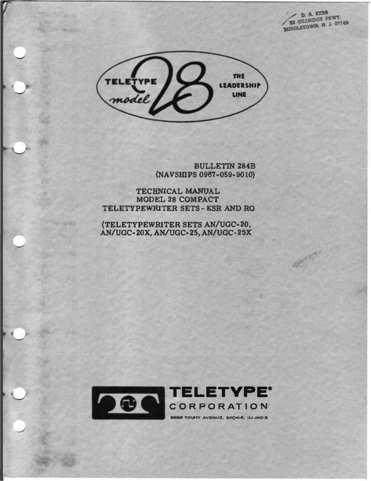**D. A. KERR**<br>**22 GILLAIDGE PKWY.** MIDDLETOWN, N. J. 0774B

**Alling** 



**BULLETIN 284B** (NAVSHIPS 0967-059-9010)

TECHNICAL MANUAL MODEL 28 COMPACT TELETYPEWRITER SETS-KSR AND RO

(TELETYPEWRITER SETS AN/UGC-20, AN/UGC-20X, AN/UGC-25, AN/UGC-25X

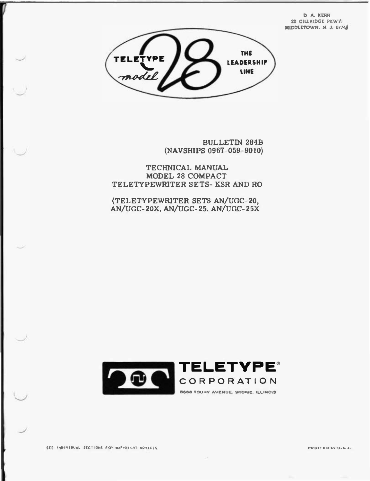**D. A. KERR** 22 CILLRIDGE PKWY. MIDDLETOWN. N. J. 0/748



**BULLETIN 284B** (NAVSHIPS 0967-059-9010)

TECHNICAL MANUAL MODEL 28 COMPACT TELETYPEWRITER SETS- KSR AND RO

(TELETYPEWRITER SETS AN/UGC-20, AN/UGC-20X, AN/UGC-25, AN/UGC-25X



 $\sim$ 

SEE INDIVIDUAL SECTIONS FOR COPYRIGHT NOTICES.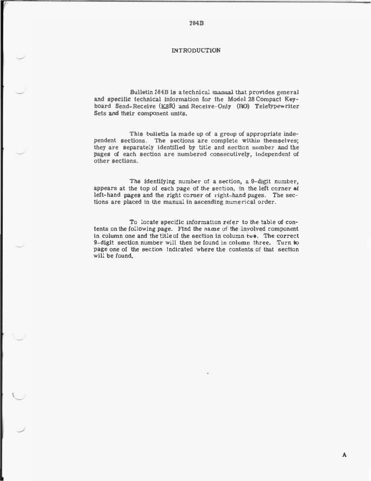## **INTRODUCTION**

2848

Bulletin 2848 Is a technical manual that provides general and specific technical Information for the Model 28 Compact Keyboard Send-Receive (KSR) and Receive-Only (RO) Teletypewriter Sets and their component units.

This bulletin Is made up of a group of appropriate independent sections. The sections are complete within themselves; they are separately Identified by title and section number and the pages of each section are numbered consecutively, Independent of other sections.

The identifying number of a section, a 9-digit number, appears at the top of each page of the section, in the left corner of left-hand pages and the right corner of right-hand pages. The sections are placed In the manual In ascending numerical order.

To locate specific information refer to the table of contents on the following page. Find the name of the involved component in column one and the title of the section in column two. The correct 9-diglt section number will then be found in column three. Turn to page one of the section Indicated where the contents of that section will be found.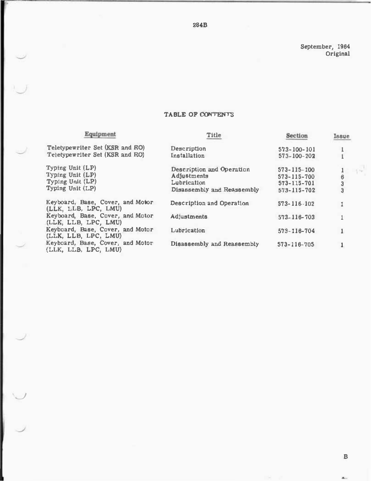September, 1964 Original

## TABLE OF CONTENTS

| Equipment                                                                    | <b>Title</b>                                                                          | Section                                                        | <b>Issue</b>                          |
|------------------------------------------------------------------------------|---------------------------------------------------------------------------------------|----------------------------------------------------------------|---------------------------------------|
| Teletypewriter Set (KSR and RO)<br>Teletypewriter Set (KSR and RO)           | Description<br>Installation                                                           | 573-100-101<br>$573 - 100 - 202$                               |                                       |
| Typing Unit (LP)<br>Typing Unit (LP)<br>Typing Unit (LP)<br>Typing Unit (LP) | Description and Operation<br>Adjustments<br>Lubrication<br>Disassembly and Reassembly | $573 - 115 - 100$<br>573-115-700<br>573-115-701<br>573-115-702 | City)<br>3<br>$\overline{\mathbf{3}}$ |
| Keyboard, Base, Cover, and Motor<br>(LLK, LLB, LPC, LMU)                     | Description and Operation                                                             | 573-116-102                                                    |                                       |
| Keyboard, Base, Cover, and Motor<br>(LLK, LLB, LPC, LMU)                     | Adjustments                                                                           | 573-116-703                                                    |                                       |
| Keyboard, Base, Cover, and Motor<br>(LLK, LLB, LPC, LMU)                     | Lubrication                                                                           | 579-116-704                                                    |                                       |
| Keyboard, Base, Cover, and Motor<br>(LLK, LLB, LPC, LMU)                     | Disassembly and Reassembly                                                            | $573 - 116 - 705$                                              |                                       |

 $\overline{\phantom{a}}$ 

 $\begin{matrix} 1 & 0 \\ 0 & 0 \\ 0 & 0 \end{matrix}$ 

8

 $\mathbf{A}_{\text{int}}$